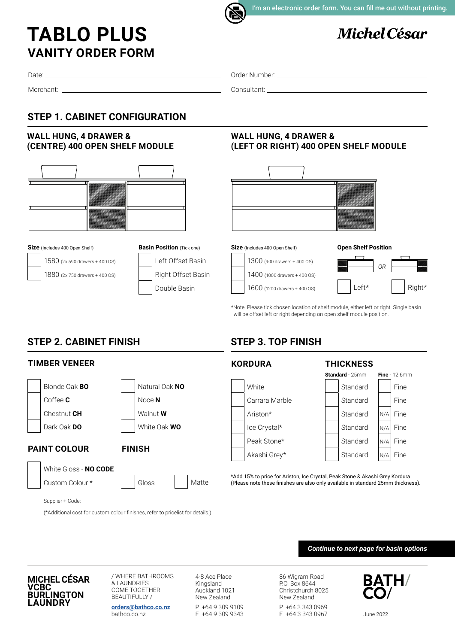

I'm an electronic order form. You can fill me out without printing.

# **Michel César**

# **VANITY ORDER FORM TABLO PLUS**

Date:

Merchant:

Order Number:

Consultant:

## **STEP 1. CABINET CONFIGURATION**

#### **WALL HUNG, 4 DRAWER & (CENTRE) 400 OPEN SHELF MODULE**





1580 (2x 590 drawers + 400 OS)

1880 (2x 750 drawers + 400 OS)







**Size** (Includes 400 Open Shelf)







\*Note: Please tick chosen location of shelf module, either left or right. Single basin will be offset left or right depending on open shelf module position.

# **STEP 3. TOP FINISH**

#### **TIMBER VENEER Blonde Oak BO** Natural Oak NO Coffee **C**  $\qquad \qquad \qquad$  Noce **N** Chestnut **CH** Walnut **W** Dark Oak **DO** White Oak **WO PAINT COLOUR FINISH** White Gloss - **NO CODE** Custom Colour \* Figlioss Supplier + Code: Matte **KORDURA THICKNESS** White  $\|\cdot\|$  Standard Fine Carrara Marble  $\left| \begin{array}{c} | \\ | \end{array} \right|$  Standard  $\left| \begin{array}{c} | \\ | \end{array} \right|$  Fine Ariston\* | Standard | N/A Fine  $\lvert \cdot \cdot \rvert$  Standard  $\lvert \cdot \rvert$  Standard  $\lvert \cdot \rvert$  Standard  $\lvert \cdot \rvert$  Fine Peak Stone\* Standard N/A Fine Akashi Grey\*  $\|\cdot\|$  Standard  $\|_{N/A}$  Fine \*Add 15% to price for Ariston, Ice Crystal, Peak Stone & Akashi Grey Kordura (Please note these finishes are also only available in standard 25mm thickness). **Standard** - 25mm **Fine** - 12.6mm N/A N/A N/A N/A

(\*Additional cost for custom colour finishes, refer to pricelist for details.)

*Continue to next page for basin options*

**MICHEL CÉSAR VCBC BURLINGTON LAUNDRY**

/ WHERE BATHROOMS & LAUNDRIES COME TOGETHER BEAUTIFULLY / **[orders@bathco.co.nz](mailto:orders%40bathco.co.nz%0D?subject=Order%20Form)**

bathco.co.nz

4-8 Ace Place Kingsland Auckland 1021 New Zealand P +64 9 309 9109 F +64 9 309 9343

86 Wigram Road P.O. Box 8644 Christchurch 8025 New Zealand P +64 3 343 0969 F +64 3 343 0967



June 2022

# **STEP 2. CABINET FINISH**